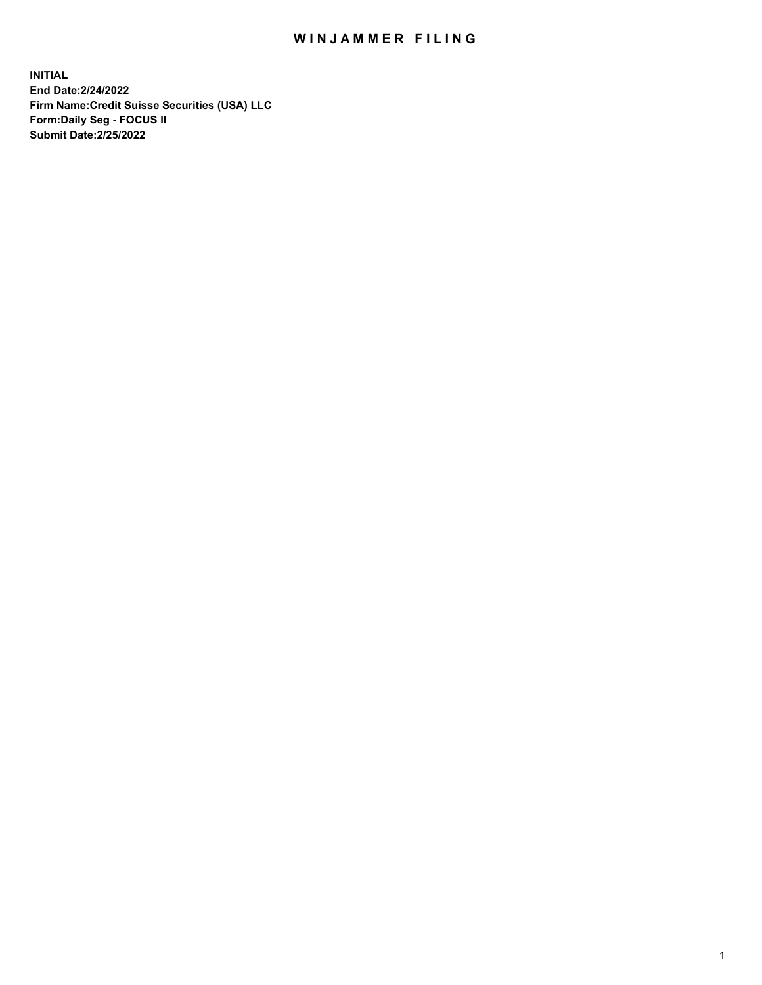## WIN JAMMER FILING

**INITIAL End Date:2/24/2022 Firm Name:Credit Suisse Securities (USA) LLC Form:Daily Seg - FOCUS II Submit Date:2/25/2022**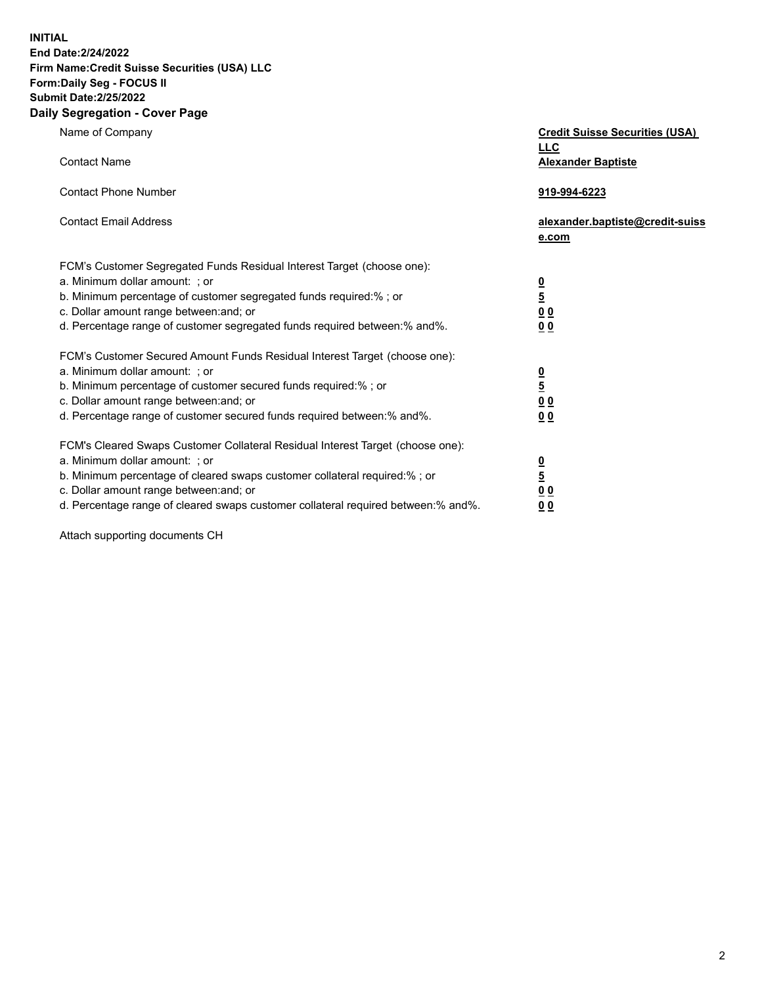**INITIAL** 

## **End Date:2/24/2022 Firm Name:Credit Suisse Securities (USA) LLC Form:Daily Seg - FOCUS II Submit Date:2/25/2022**

## **Daily Segregation - Cover Page**

| Name of Company                                                                                                  | <b>Credit Suisse Securities (USA)</b><br><b>LLC</b> |
|------------------------------------------------------------------------------------------------------------------|-----------------------------------------------------|
| <b>Contact Name</b><br><b>Contact Phone Number</b>                                                               | <b>Alexander Baptiste</b>                           |
| <b>Contact Email Address</b>                                                                                     | 919-994-6223<br>alexander.baptiste@credit-suiss     |
|                                                                                                                  | e.com                                               |
| FCM's Customer Segregated Funds Residual Interest Target (choose one):                                           |                                                     |
| a. Minimum dollar amount: ; or                                                                                   |                                                     |
| b. Minimum percentage of customer segregated funds required:% ; or                                               | $\frac{\frac{0}{5}}{\frac{0}{0}}$                   |
| c. Dollar amount range between: and; or                                                                          |                                                     |
| d. Percentage range of customer segregated funds required between:% and%.                                        | 0 <sub>0</sub>                                      |
| FCM's Customer Secured Amount Funds Residual Interest Target (choose one):                                       |                                                     |
| a. Minimum dollar amount: ; or                                                                                   |                                                     |
| b. Minimum percentage of customer secured funds required:%; or                                                   | $\frac{\frac{0}{5}}{\frac{0}{0}}$                   |
| c. Dollar amount range between: and; or                                                                          |                                                     |
| d. Percentage range of customer secured funds required between:% and%.                                           | 0 <sub>0</sub>                                      |
| FCM's Cleared Swaps Customer Collateral Residual Interest Target (choose one):<br>a. Minimum dollar amount: ; or |                                                     |
| b. Minimum percentage of cleared swaps customer collateral required:%; or                                        | $\frac{0}{5}$                                       |
| c. Dollar amount range between: and; or                                                                          | 0 <sub>0</sub>                                      |
| d. Percentage range of cleared swaps customer collateral required between:% and%.                                | 0 <sub>0</sub>                                      |

Attach supporting documents CH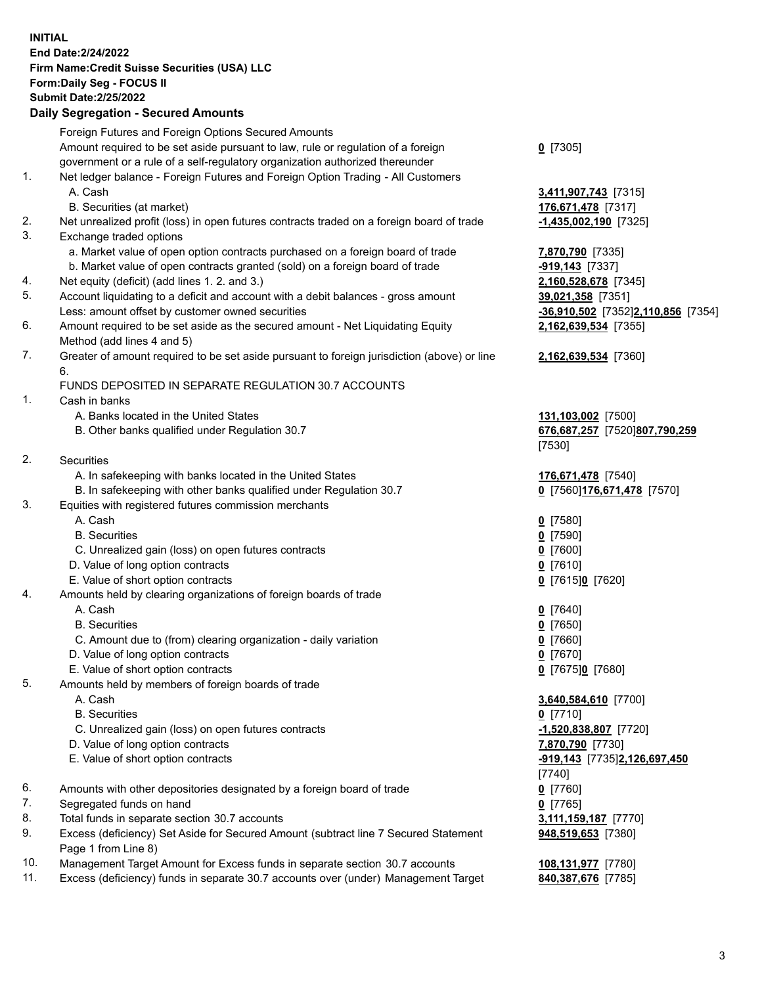**INITIAL End Date:2/24/2022 Firm Name:Credit Suisse Securities (USA) LLC Form:Daily Seg - FOCUS II Submit Date:2/25/2022** 

## **Daily Segregation - Secured Amounts**

|          | Foreign Futures and Foreign Options Secured Amounts                                                                       |                                    |
|----------|---------------------------------------------------------------------------------------------------------------------------|------------------------------------|
|          | Amount required to be set aside pursuant to law, rule or regulation of a foreign                                          | $0$ [7305]                         |
|          | government or a rule of a self-regulatory organization authorized thereunder                                              |                                    |
| 1.       | Net ledger balance - Foreign Futures and Foreign Option Trading - All Customers                                           |                                    |
|          | A. Cash                                                                                                                   | 3,411,907,743 [7315]               |
|          | B. Securities (at market)                                                                                                 | 176,671,478 [7317]                 |
| 2.       | Net unrealized profit (loss) in open futures contracts traded on a foreign board of trade                                 | $-1,435,002,190$ [7325]            |
| 3.       | Exchange traded options                                                                                                   |                                    |
|          | a. Market value of open option contracts purchased on a foreign board of trade                                            | 7,870,790 [7335]                   |
|          | b. Market value of open contracts granted (sold) on a foreign board of trade                                              | -919,143 [7337]                    |
| 4.<br>5. | Net equity (deficit) (add lines 1. 2. and 3.)                                                                             | 2,160,528,678 [7345]               |
|          | Account liquidating to a deficit and account with a debit balances - gross amount                                         | 39,021,358 [7351]                  |
| 6.       | Less: amount offset by customer owned securities                                                                          | -36,910,502 [7352]2,110,856 [7354] |
|          | Amount required to be set aside as the secured amount - Net Liquidating Equity                                            | 2,162,639,534 [7355]               |
| 7.       | Method (add lines 4 and 5)<br>Greater of amount required to be set aside pursuant to foreign jurisdiction (above) or line |                                    |
|          | 6.                                                                                                                        | 2,162,639,534 [7360]               |
|          | FUNDS DEPOSITED IN SEPARATE REGULATION 30.7 ACCOUNTS                                                                      |                                    |
| 1.       | Cash in banks                                                                                                             |                                    |
|          | A. Banks located in the United States                                                                                     | 131,103,002 [7500]                 |
|          | B. Other banks qualified under Regulation 30.7                                                                            | 676,687,257 [7520]807,790,259      |
|          |                                                                                                                           | [7530]                             |
| 2.       | Securities                                                                                                                |                                    |
|          | A. In safekeeping with banks located in the United States                                                                 | 176,671,478 [7540]                 |
|          | B. In safekeeping with other banks qualified under Regulation 30.7                                                        | 0 [7560] 176,671,478 [7570]        |
| 3.       | Equities with registered futures commission merchants                                                                     |                                    |
|          | A. Cash                                                                                                                   | $0$ [7580]                         |
|          | <b>B.</b> Securities                                                                                                      | $0$ [7590]                         |
|          | C. Unrealized gain (loss) on open futures contracts                                                                       | $0$ [7600]                         |
|          | D. Value of long option contracts                                                                                         | $0$ [7610]                         |
|          | E. Value of short option contracts                                                                                        | 0 [7615]0 [7620]                   |
| 4.       | Amounts held by clearing organizations of foreign boards of trade                                                         |                                    |
|          | A. Cash                                                                                                                   | $0$ [7640]                         |
|          | <b>B.</b> Securities                                                                                                      | $0$ [7650]                         |
|          | C. Amount due to (from) clearing organization - daily variation                                                           | $0$ [7660]                         |
|          | D. Value of long option contracts                                                                                         | $0$ [7670]                         |
|          | E. Value of short option contracts                                                                                        | 0 [7675]0 [7680]                   |
| 5.       | Amounts held by members of foreign boards of trade                                                                        |                                    |
|          | A. Cash                                                                                                                   | 3,640,584,610 [7700]               |
|          | <b>B.</b> Securities                                                                                                      | $0$ [7710]                         |
|          | C. Unrealized gain (loss) on open futures contracts                                                                       | -1,520,838,807 [7720]              |
|          | D. Value of long option contracts                                                                                         | 7,870,790 [7730]                   |
|          | E. Value of short option contracts                                                                                        | -919,143 [7735]2,126,697,450       |
|          |                                                                                                                           | [7740]                             |
| 6.       | Amounts with other depositories designated by a foreign board of trade                                                    | $0$ [7760]                         |
| 7.       | Segregated funds on hand                                                                                                  | $0$ [7765]                         |
| 8.       | Total funds in separate section 30.7 accounts                                                                             | 3,111,159,187 [7770]               |
| 9.       | Excess (deficiency) Set Aside for Secured Amount (subtract line 7 Secured Statement<br>Page 1 from Line 8)                | 948,519,653 [7380]                 |
| 10.      | Management Target Amount for Excess funds in separate section 30.7 accounts                                               | 108,131,977 [7780]                 |
| 11.      | Excess (deficiency) funds in separate 30.7 accounts over (under) Management Target                                        | 840,387,676 [7785]                 |
|          |                                                                                                                           |                                    |

3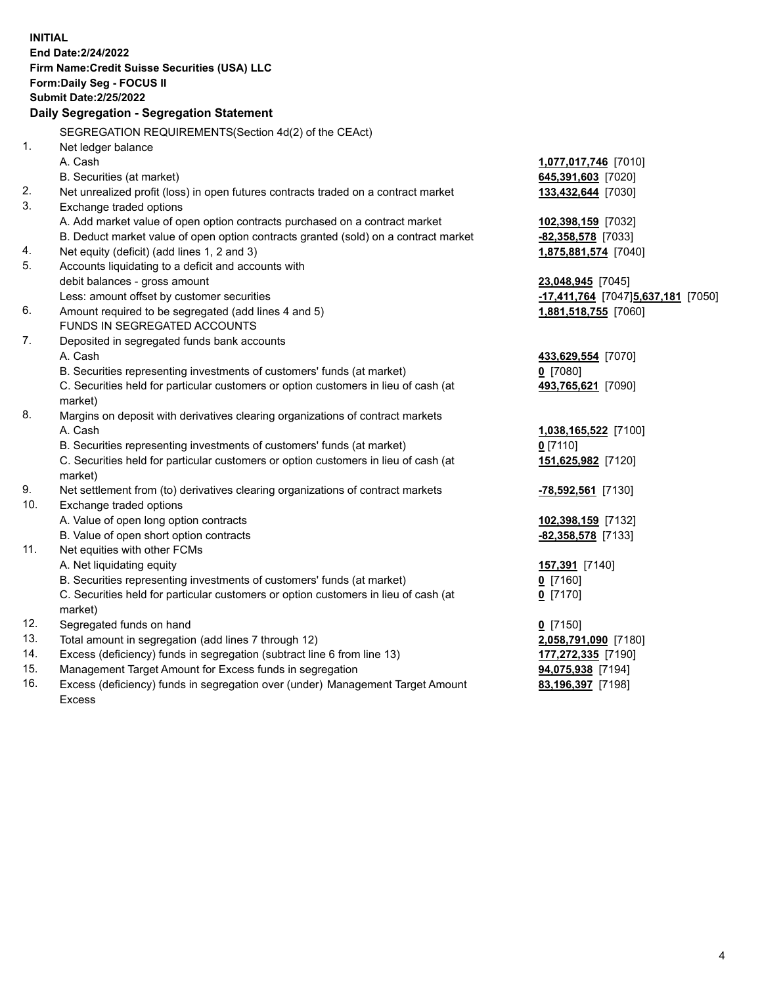| <b>INITIAL</b> | End Date: 2/24/2022<br>Firm Name: Credit Suisse Securities (USA) LLC<br>Form: Daily Seg - FOCUS II<br><b>Submit Date:2/25/2022</b><br>Daily Segregation - Segregation Statement |                                     |
|----------------|---------------------------------------------------------------------------------------------------------------------------------------------------------------------------------|-------------------------------------|
|                | SEGREGATION REQUIREMENTS(Section 4d(2) of the CEAct)                                                                                                                            |                                     |
| 1.             | Net ledger balance                                                                                                                                                              |                                     |
|                | A. Cash                                                                                                                                                                         | 1,077,017,746 [7010]                |
|                | B. Securities (at market)                                                                                                                                                       | 645,391,603 [7020]                  |
| 2.             | Net unrealized profit (loss) in open futures contracts traded on a contract market                                                                                              | 133,432,644 [7030]                  |
| 3.             | Exchange traded options                                                                                                                                                         |                                     |
|                | A. Add market value of open option contracts purchased on a contract market                                                                                                     | 102,398,159 [7032]                  |
|                | B. Deduct market value of open option contracts granted (sold) on a contract market                                                                                             | -82,358,578 [7033]                  |
| 4.             | Net equity (deficit) (add lines 1, 2 and 3)                                                                                                                                     | 1,875,881,574 [7040]                |
| 5.             | Accounts liquidating to a deficit and accounts with                                                                                                                             |                                     |
|                | debit balances - gross amount                                                                                                                                                   | 23,048,945 [7045]                   |
|                | Less: amount offset by customer securities                                                                                                                                      | -17,411,764 [7047] 5,637,181 [7050] |
| 6.             | Amount required to be segregated (add lines 4 and 5)                                                                                                                            | 1,881,518,755 [7060]                |
|                | FUNDS IN SEGREGATED ACCOUNTS                                                                                                                                                    |                                     |
| 7.             | Deposited in segregated funds bank accounts                                                                                                                                     |                                     |
|                | A. Cash                                                                                                                                                                         | 433,629,554 [7070]                  |
|                | B. Securities representing investments of customers' funds (at market)                                                                                                          | $0$ [7080]                          |
|                | C. Securities held for particular customers or option customers in lieu of cash (at                                                                                             | 493,765,621 [7090]                  |
|                | market)                                                                                                                                                                         |                                     |
| 8.             | Margins on deposit with derivatives clearing organizations of contract markets                                                                                                  |                                     |
|                | A. Cash                                                                                                                                                                         | 1,038,165,522 [7100]                |
|                | B. Securities representing investments of customers' funds (at market)                                                                                                          | $0$ [7110]                          |
|                | C. Securities held for particular customers or option customers in lieu of cash (at                                                                                             | 151,625,982 [7120]                  |
|                | market)                                                                                                                                                                         |                                     |
| 9.             | Net settlement from (to) derivatives clearing organizations of contract markets                                                                                                 | <u>-78,592,561</u> [7130]           |
| 10.            | Exchange traded options                                                                                                                                                         |                                     |
|                | A. Value of open long option contracts                                                                                                                                          | 102,398,159 [7132]                  |
|                | B. Value of open short option contracts                                                                                                                                         | -82,358,578 [7133]                  |
| 11.            | Net equities with other FCMs                                                                                                                                                    |                                     |
|                | A. Net liquidating equity                                                                                                                                                       | 157,391 [7140]                      |
|                | B. Securities representing investments of customers' funds (at market)                                                                                                          | 0 [7160]                            |
|                | C. Securities held for particular customers or option customers in lieu of cash (at                                                                                             | $0$ [7170]                          |
|                | market)                                                                                                                                                                         |                                     |
| 12.            | Segregated funds on hand                                                                                                                                                        | $0$ [7150]                          |
| 13.            | Total amount in segregation (add lines 7 through 12)                                                                                                                            | 2,058,791,090 [7180]                |
| 14.            | Excess (deficiency) funds in segregation (subtract line 6 from line 13)                                                                                                         | 177,272,335 [7190]                  |
| 15.            | Management Target Amount for Excess funds in segregation                                                                                                                        | 94,075,938 [7194]                   |
| 16.            | Excess (deficiency) funds in segregation over (under) Management Target Amount                                                                                                  | 83,196,397 [7198]                   |
|                | Excess                                                                                                                                                                          |                                     |